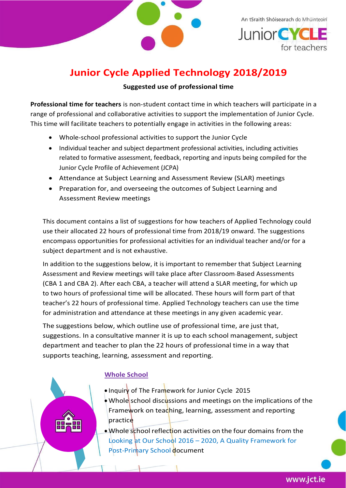

An tSraith Shóisearach do Mhúinteoirí **Junior CYCL** for teachers

# **Junior Cycle Applied Technology 2018/2019**

### **Suggested use of professional time**

**Professional time for teachers** is non-student contact time in which teachers will participate in a range of professional and collaborative activities to support the implementation of Junior Cycle. This time will facilitate teachers to potentially engage in activities in the following areas:

- Whole-school professional activities to support the Junior Cycle
- Individual teacher and subject department professional activities, including activities related to formative assessment, feedback, reporting and inputs being compiled for the Junior Cycle Profile of Achievement (JCPA)
- Attendance at Subject Learning and Assessment Review (SLAR) meetings
- Preparation for, and overseeing the outcomes of Subject Learning and Assessment Review meetings

This document contains a list of suggestions for how teachers of Applied Technology could use their allocated 22 hours of professional time from 2018/19 onward. The suggestions encompass opportunities for professional activities for an individual teacher and/or for a subject department and is not exhaustive.

In addition to the suggestions below, it is important to remember that Subject Learning Assessment and Review meetings will take place after Classroom-Based Assessments (CBA 1 and CBA 2). After each CBA, a teacher will attend a SLAR meeting, for which up to two hours of professional time will be allocated. These hours will form part of that teacher's 22 hours of professional time. Applied Technology teachers can use the time for administration and attendance at these meetings in any given academic year.

The suggestions below, which outline use of professional time, are just that, suggestions. In a consultative manner it is up to each school management, subject department and teacher to plan the 22 hours of professional time in a way that supports teaching, learning, assessment and reporting.

## **Whole School**

- Inquiry of The Framework for Junior Cycle 2015
- Whole school discussions and meetings on the implications of the Framework on teaching, learning, assessment and reporting practice
- Whole school reflection activities on the four domains from the Looking at Our School 2016 – 2020, A Quality Framework for Post-Primary School document